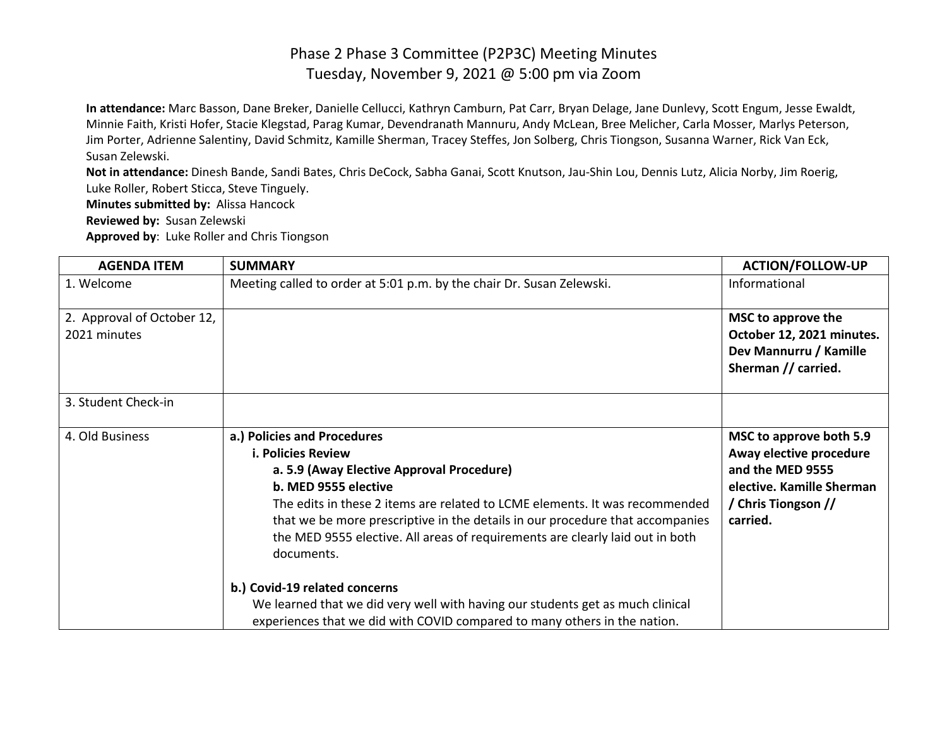**In attendance:** Marc Basson, Dane Breker, Danielle Cellucci, Kathryn Camburn, Pat Carr, Bryan Delage, Jane Dunlevy, Scott Engum, Jesse Ewaldt, Minnie Faith, Kristi Hofer, Stacie Klegstad, Parag Kumar, Devendranath Mannuru, Andy McLean, Bree Melicher, Carla Mosser, Marlys Peterson, Jim Porter, Adrienne Salentiny, David Schmitz, Kamille Sherman, Tracey Steffes, Jon Solberg, Chris Tiongson, Susanna Warner, Rick Van Eck, Susan Zelewski.

**Not in attendance:** Dinesh Bande, Sandi Bates, Chris DeCock, Sabha Ganai, Scott Knutson, Jau-Shin Lou, Dennis Lutz, Alicia Norby, Jim Roerig, Luke Roller, Robert Sticca, Steve Tinguely.

**Minutes submitted by:** Alissa Hancock

**Reviewed by:** Susan Zelewski

**Approved by**: Luke Roller and Chris Tiongson

| <b>AGENDA ITEM</b>                         | <b>SUMMARY</b>                                                                                                                                                                                                                                                                                                                                                                               | <b>ACTION/FOLLOW-UP</b>                                                                                                                |
|--------------------------------------------|----------------------------------------------------------------------------------------------------------------------------------------------------------------------------------------------------------------------------------------------------------------------------------------------------------------------------------------------------------------------------------------------|----------------------------------------------------------------------------------------------------------------------------------------|
| 1. Welcome                                 | Meeting called to order at 5:01 p.m. by the chair Dr. Susan Zelewski.                                                                                                                                                                                                                                                                                                                        | Informational                                                                                                                          |
| 2. Approval of October 12,<br>2021 minutes |                                                                                                                                                                                                                                                                                                                                                                                              | MSC to approve the<br>October 12, 2021 minutes.<br>Dev Mannurru / Kamille<br>Sherman // carried.                                       |
| 3. Student Check-in                        |                                                                                                                                                                                                                                                                                                                                                                                              |                                                                                                                                        |
| 4. Old Business                            | a.) Policies and Procedures<br><b>i. Policies Review</b><br>a. 5.9 (Away Elective Approval Procedure)<br>b. MED 9555 elective<br>The edits in these 2 items are related to LCME elements. It was recommended<br>that we be more prescriptive in the details in our procedure that accompanies<br>the MED 9555 elective. All areas of requirements are clearly laid out in both<br>documents. | MSC to approve both 5.9<br>Away elective procedure<br>and the MED 9555<br>elective. Kamille Sherman<br>/ Chris Tiongson //<br>carried. |
|                                            | b.) Covid-19 related concerns<br>We learned that we did very well with having our students get as much clinical<br>experiences that we did with COVID compared to many others in the nation.                                                                                                                                                                                                 |                                                                                                                                        |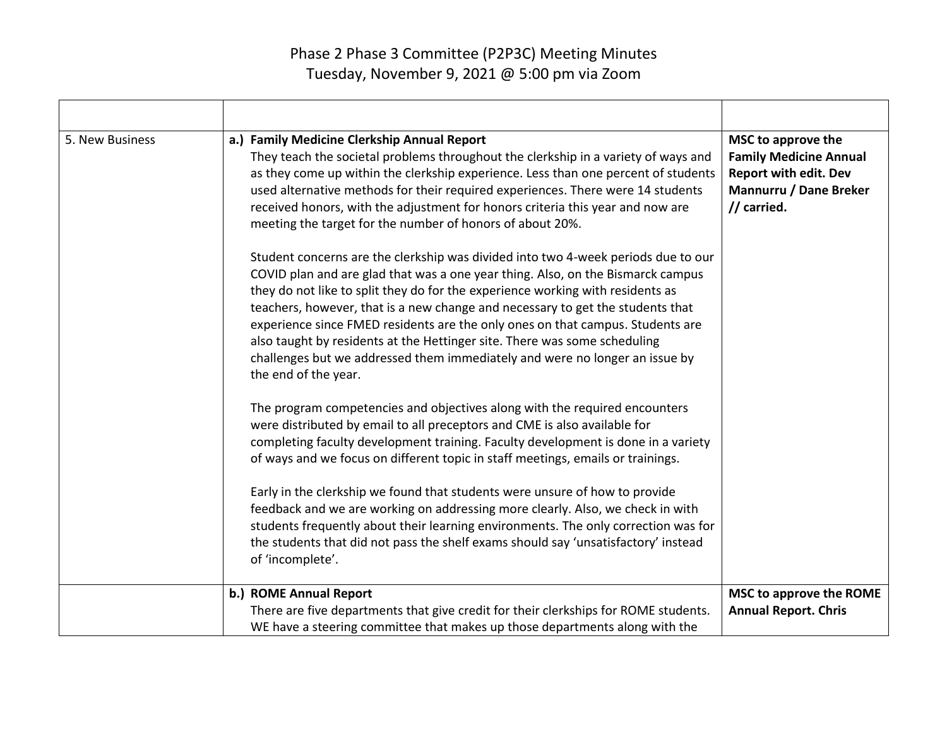| 5. New Business | a.) Family Medicine Clerkship Annual Report<br>They teach the societal problems throughout the clerkship in a variety of ways and<br>as they come up within the clerkship experience. Less than one percent of students<br>used alternative methods for their required experiences. There were 14 students<br>received honors, with the adjustment for honors criteria this year and now are<br>meeting the target for the number of honors of about 20%.                                                                                                                                                      | MSC to approve the<br><b>Family Medicine Annual</b><br><b>Report with edit. Dev</b><br><b>Mannurru / Dane Breker</b><br>// carried. |
|-----------------|----------------------------------------------------------------------------------------------------------------------------------------------------------------------------------------------------------------------------------------------------------------------------------------------------------------------------------------------------------------------------------------------------------------------------------------------------------------------------------------------------------------------------------------------------------------------------------------------------------------|-------------------------------------------------------------------------------------------------------------------------------------|
|                 | Student concerns are the clerkship was divided into two 4-week periods due to our<br>COVID plan and are glad that was a one year thing. Also, on the Bismarck campus<br>they do not like to split they do for the experience working with residents as<br>teachers, however, that is a new change and necessary to get the students that<br>experience since FMED residents are the only ones on that campus. Students are<br>also taught by residents at the Hettinger site. There was some scheduling<br>challenges but we addressed them immediately and were no longer an issue by<br>the end of the year. |                                                                                                                                     |
|                 | The program competencies and objectives along with the required encounters<br>were distributed by email to all preceptors and CME is also available for<br>completing faculty development training. Faculty development is done in a variety<br>of ways and we focus on different topic in staff meetings, emails or trainings.                                                                                                                                                                                                                                                                                |                                                                                                                                     |
|                 | Early in the clerkship we found that students were unsure of how to provide<br>feedback and we are working on addressing more clearly. Also, we check in with<br>students frequently about their learning environments. The only correction was for<br>the students that did not pass the shelf exams should say 'unsatisfactory' instead<br>of 'incomplete'.                                                                                                                                                                                                                                                  |                                                                                                                                     |
|                 | b.) ROME Annual Report<br>There are five departments that give credit for their clerkships for ROME students.<br>WE have a steering committee that makes up those departments along with the                                                                                                                                                                                                                                                                                                                                                                                                                   | MSC to approve the ROME<br><b>Annual Report. Chris</b>                                                                              |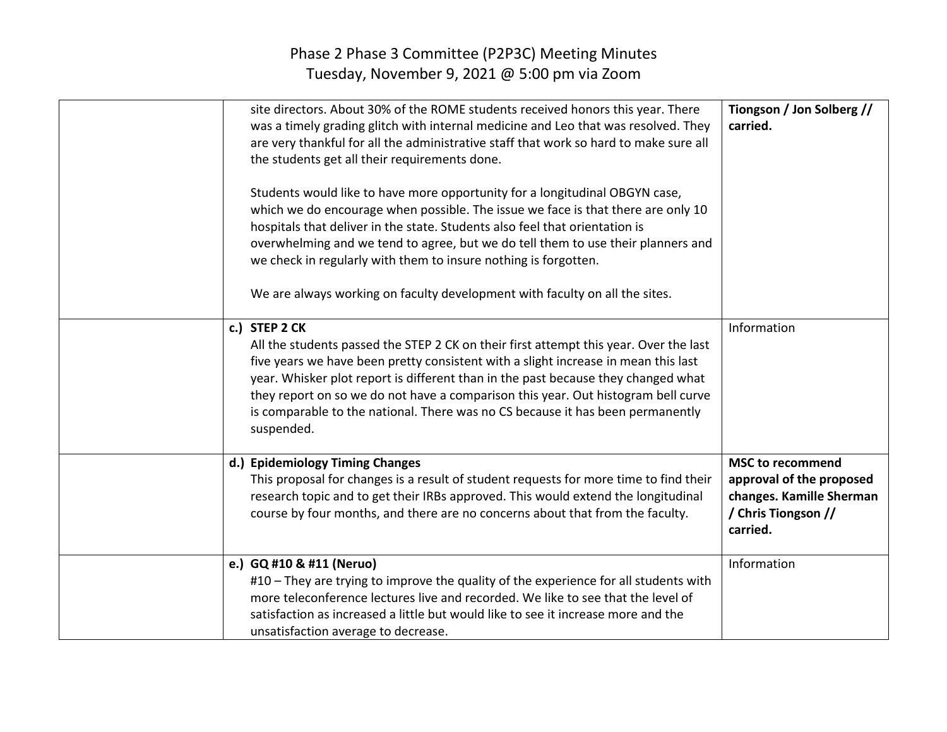| site directors. About 30% of the ROME students received honors this year. There<br>was a timely grading glitch with internal medicine and Leo that was resolved. They<br>are very thankful for all the administrative staff that work so hard to make sure all<br>the students get all their requirements done.<br>Students would like to have more opportunity for a longitudinal OBGYN case,<br>which we do encourage when possible. The issue we face is that there are only 10<br>hospitals that deliver in the state. Students also feel that orientation is<br>overwhelming and we tend to agree, but we do tell them to use their planners and<br>we check in regularly with them to insure nothing is forgotten.<br>We are always working on faculty development with faculty on all the sites. | Tiongson / Jon Solberg //<br>carried.                                                                              |
|---------------------------------------------------------------------------------------------------------------------------------------------------------------------------------------------------------------------------------------------------------------------------------------------------------------------------------------------------------------------------------------------------------------------------------------------------------------------------------------------------------------------------------------------------------------------------------------------------------------------------------------------------------------------------------------------------------------------------------------------------------------------------------------------------------|--------------------------------------------------------------------------------------------------------------------|
| c.) STEP 2 CK<br>All the students passed the STEP 2 CK on their first attempt this year. Over the last<br>five years we have been pretty consistent with a slight increase in mean this last<br>year. Whisker plot report is different than in the past because they changed what<br>they report on so we do not have a comparison this year. Out histogram bell curve<br>is comparable to the national. There was no CS because it has been permanently<br>suspended.                                                                                                                                                                                                                                                                                                                                  | Information                                                                                                        |
| d.) Epidemiology Timing Changes<br>This proposal for changes is a result of student requests for more time to find their<br>research topic and to get their IRBs approved. This would extend the longitudinal<br>course by four months, and there are no concerns about that from the faculty.                                                                                                                                                                                                                                                                                                                                                                                                                                                                                                          | <b>MSC to recommend</b><br>approval of the proposed<br>changes. Kamille Sherman<br>/ Chris Tiongson //<br>carried. |
| e.) GQ #10 & #11 (Neruo)<br>#10 - They are trying to improve the quality of the experience for all students with<br>more teleconference lectures live and recorded. We like to see that the level of<br>satisfaction as increased a little but would like to see it increase more and the<br>unsatisfaction average to decrease.                                                                                                                                                                                                                                                                                                                                                                                                                                                                        | Information                                                                                                        |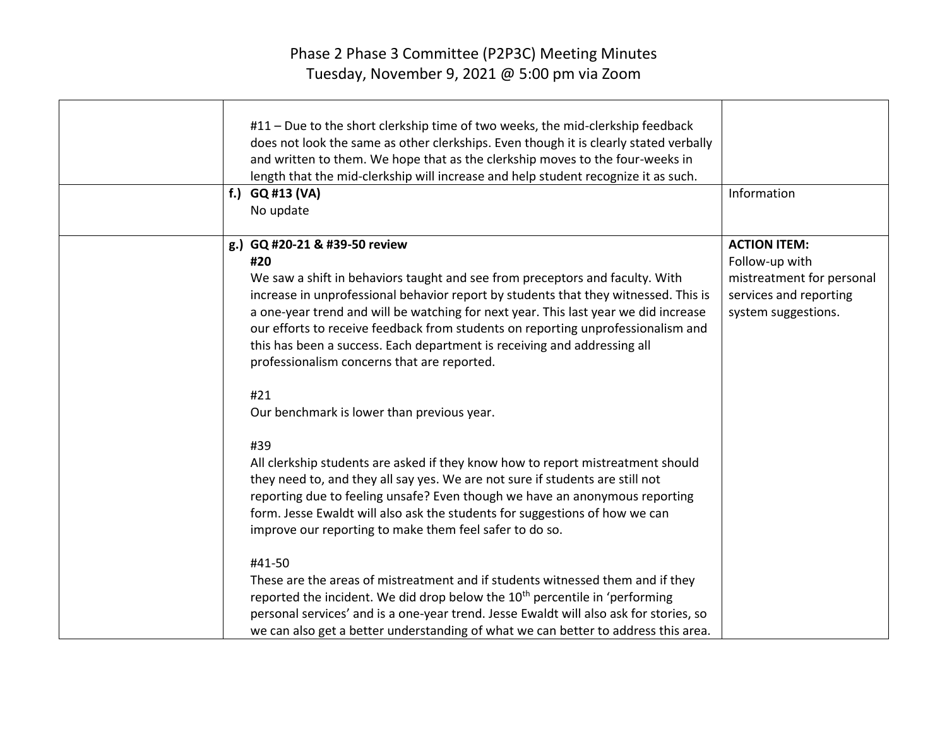| #11 - Due to the short clerkship time of two weeks, the mid-clerkship feedback<br>does not look the same as other clerkships. Even though it is clearly stated verbally<br>and written to them. We hope that as the clerkship moves to the four-weeks in<br>length that the mid-clerkship will increase and help student recognize it as such.<br>f.) $GQ #13 (VA)$<br>No update                                                                                                                                  | Information                                                                                                         |
|-------------------------------------------------------------------------------------------------------------------------------------------------------------------------------------------------------------------------------------------------------------------------------------------------------------------------------------------------------------------------------------------------------------------------------------------------------------------------------------------------------------------|---------------------------------------------------------------------------------------------------------------------|
| g.) GQ #20-21 & #39-50 review<br>#20<br>We saw a shift in behaviors taught and see from preceptors and faculty. With<br>increase in unprofessional behavior report by students that they witnessed. This is<br>a one-year trend and will be watching for next year. This last year we did increase<br>our efforts to receive feedback from students on reporting unprofessionalism and<br>this has been a success. Each department is receiving and addressing all<br>professionalism concerns that are reported. | <b>ACTION ITEM:</b><br>Follow-up with<br>mistreatment for personal<br>services and reporting<br>system suggestions. |
| #21<br>Our benchmark is lower than previous year.                                                                                                                                                                                                                                                                                                                                                                                                                                                                 |                                                                                                                     |
| #39<br>All clerkship students are asked if they know how to report mistreatment should<br>they need to, and they all say yes. We are not sure if students are still not<br>reporting due to feeling unsafe? Even though we have an anonymous reporting<br>form. Jesse Ewaldt will also ask the students for suggestions of how we can<br>improve our reporting to make them feel safer to do so.                                                                                                                  |                                                                                                                     |
| #41-50<br>These are the areas of mistreatment and if students witnessed them and if they<br>reported the incident. We did drop below the 10 <sup>th</sup> percentile in 'performing<br>personal services' and is a one-year trend. Jesse Ewaldt will also ask for stories, so<br>we can also get a better understanding of what we can better to address this area.                                                                                                                                               |                                                                                                                     |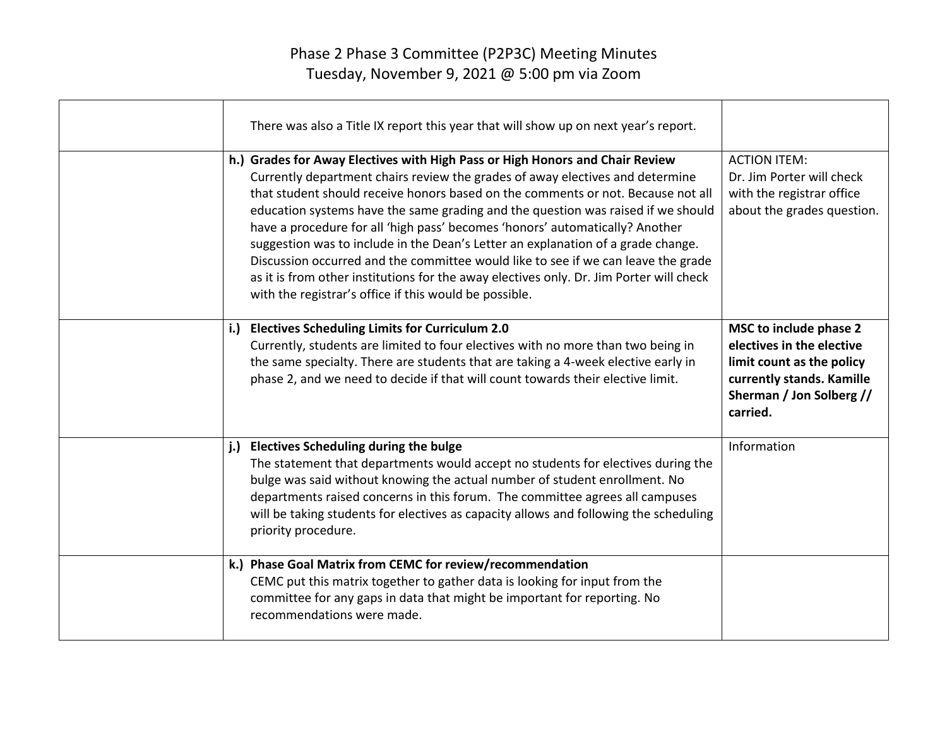| There was also a Title IX report this year that will show up on next year's report.                                                                                                                                                                                                                                                                                                                                                                                                                                                                                                                                                                                                                                                                 |                                                                                                                                                       |
|-----------------------------------------------------------------------------------------------------------------------------------------------------------------------------------------------------------------------------------------------------------------------------------------------------------------------------------------------------------------------------------------------------------------------------------------------------------------------------------------------------------------------------------------------------------------------------------------------------------------------------------------------------------------------------------------------------------------------------------------------------|-------------------------------------------------------------------------------------------------------------------------------------------------------|
| h.) Grades for Away Electives with High Pass or High Honors and Chair Review<br>Currently department chairs review the grades of away electives and determine<br>that student should receive honors based on the comments or not. Because not all<br>education systems have the same grading and the question was raised if we should<br>have a procedure for all 'high pass' becomes 'honors' automatically? Another<br>suggestion was to include in the Dean's Letter an explanation of a grade change.<br>Discussion occurred and the committee would like to see if we can leave the grade<br>as it is from other institutions for the away electives only. Dr. Jim Porter will check<br>with the registrar's office if this would be possible. | <b>ACTION ITEM:</b><br>Dr. Jim Porter will check<br>with the registrar office<br>about the grades question.                                           |
| i.) Electives Scheduling Limits for Curriculum 2.0<br>Currently, students are limited to four electives with no more than two being in<br>the same specialty. There are students that are taking a 4-week elective early in<br>phase 2, and we need to decide if that will count towards their elective limit.                                                                                                                                                                                                                                                                                                                                                                                                                                      | MSC to include phase 2<br>electives in the elective<br>limit count as the policy<br>currently stands. Kamille<br>Sherman / Jon Solberg //<br>carried. |
| j.)<br><b>Electives Scheduling during the bulge</b><br>The statement that departments would accept no students for electives during the<br>bulge was said without knowing the actual number of student enrollment. No<br>departments raised concerns in this forum. The committee agrees all campuses<br>will be taking students for electives as capacity allows and following the scheduling<br>priority procedure.                                                                                                                                                                                                                                                                                                                               | Information                                                                                                                                           |
| k.) Phase Goal Matrix from CEMC for review/recommendation<br>CEMC put this matrix together to gather data is looking for input from the<br>committee for any gaps in data that might be important for reporting. No<br>recommendations were made.                                                                                                                                                                                                                                                                                                                                                                                                                                                                                                   |                                                                                                                                                       |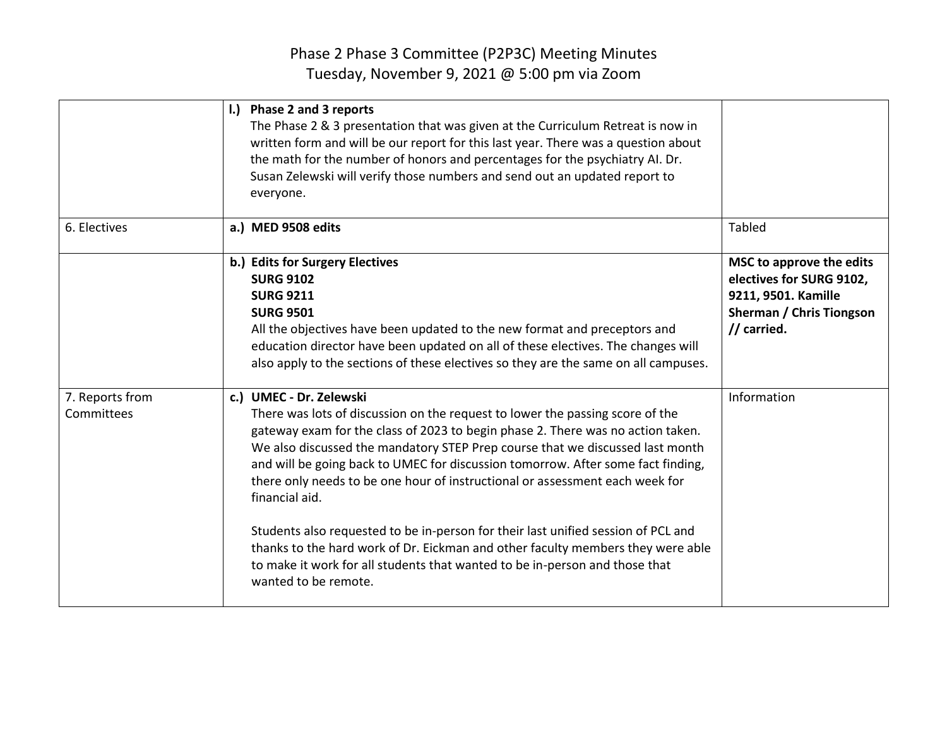|                               | I.) Phase 2 and 3 reports<br>The Phase 2 & 3 presentation that was given at the Curriculum Retreat is now in<br>written form and will be our report for this last year. There was a question about<br>the math for the number of honors and percentages for the psychiatry AI. Dr.<br>Susan Zelewski will verify those numbers and send out an updated report to<br>everyone.                                                                                                                                                                                                                                                                                                                                                                     |                                                                                                                               |
|-------------------------------|---------------------------------------------------------------------------------------------------------------------------------------------------------------------------------------------------------------------------------------------------------------------------------------------------------------------------------------------------------------------------------------------------------------------------------------------------------------------------------------------------------------------------------------------------------------------------------------------------------------------------------------------------------------------------------------------------------------------------------------------------|-------------------------------------------------------------------------------------------------------------------------------|
| 6. Electives                  | a.) MED 9508 edits                                                                                                                                                                                                                                                                                                                                                                                                                                                                                                                                                                                                                                                                                                                                | <b>Tabled</b>                                                                                                                 |
|                               | b.) Edits for Surgery Electives<br><b>SURG 9102</b><br><b>SURG 9211</b><br><b>SURG 9501</b><br>All the objectives have been updated to the new format and preceptors and<br>education director have been updated on all of these electives. The changes will<br>also apply to the sections of these electives so they are the same on all campuses.                                                                                                                                                                                                                                                                                                                                                                                               | MSC to approve the edits<br>electives for SURG 9102,<br>9211, 9501. Kamille<br><b>Sherman / Chris Tiongson</b><br>// carried. |
| 7. Reports from<br>Committees | c.) UMEC - Dr. Zelewski<br>There was lots of discussion on the request to lower the passing score of the<br>gateway exam for the class of 2023 to begin phase 2. There was no action taken.<br>We also discussed the mandatory STEP Prep course that we discussed last month<br>and will be going back to UMEC for discussion tomorrow. After some fact finding,<br>there only needs to be one hour of instructional or assessment each week for<br>financial aid.<br>Students also requested to be in-person for their last unified session of PCL and<br>thanks to the hard work of Dr. Eickman and other faculty members they were able<br>to make it work for all students that wanted to be in-person and those that<br>wanted to be remote. | Information                                                                                                                   |